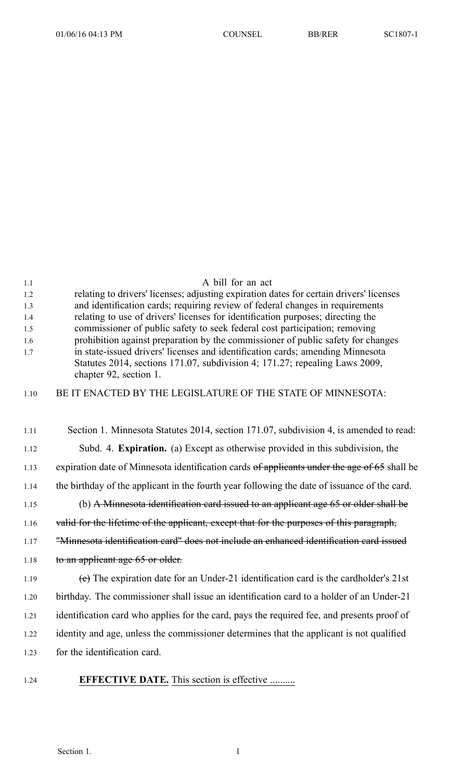| 1.1<br>1.2<br>1.3<br>1.4<br>1.5<br>1.6<br>1.7 | A bill for an act<br>relating to drivers' licenses; adjusting expiration dates for certain drivers' licenses<br>and identification cards; requiring review of federal changes in requirements<br>relating to use of drivers' licenses for identification purposes; directing the<br>commissioner of public safety to seek federal cost participation; removing<br>prohibition against preparation by the commissioner of public safety for changes<br>in state-issued drivers' licenses and identification cards; amending Minnesota<br>Statutes 2014, sections 171.07, subdivision 4; 171.27; repealing Laws 2009,<br>chapter 92, section 1. |
|-----------------------------------------------|-----------------------------------------------------------------------------------------------------------------------------------------------------------------------------------------------------------------------------------------------------------------------------------------------------------------------------------------------------------------------------------------------------------------------------------------------------------------------------------------------------------------------------------------------------------------------------------------------------------------------------------------------|
| 1.10                                          | BE IT ENACTED BY THE LEGISLATURE OF THE STATE OF MINNESOTA:                                                                                                                                                                                                                                                                                                                                                                                                                                                                                                                                                                                   |
|                                               |                                                                                                                                                                                                                                                                                                                                                                                                                                                                                                                                                                                                                                               |
| 1.11                                          | Section 1. Minnesota Statutes 2014, section 171.07, subdivision 4, is amended to read:                                                                                                                                                                                                                                                                                                                                                                                                                                                                                                                                                        |
| 1.12                                          | Subd. 4. <b>Expiration.</b> (a) Except as otherwise provided in this subdivision, the                                                                                                                                                                                                                                                                                                                                                                                                                                                                                                                                                         |
| 1.13                                          | expiration date of Minnesota identification cards of applicants under the age of 65 shall be                                                                                                                                                                                                                                                                                                                                                                                                                                                                                                                                                  |
| 1.14                                          | the birthday of the applicant in the fourth year following the date of issuance of the card.                                                                                                                                                                                                                                                                                                                                                                                                                                                                                                                                                  |
| 1.15                                          | (b) A Minnesota identification card issued to an applicant age 65 or older shall be                                                                                                                                                                                                                                                                                                                                                                                                                                                                                                                                                           |
| 1.16                                          | valid for the lifetime of the applicant, except that for the purposes of this paragraph,                                                                                                                                                                                                                                                                                                                                                                                                                                                                                                                                                      |
| 1.17                                          | "Minnesota identification card" does not include an enhanced identification card issued                                                                                                                                                                                                                                                                                                                                                                                                                                                                                                                                                       |
| 1.18                                          | to an applicant age 65 or older.                                                                                                                                                                                                                                                                                                                                                                                                                                                                                                                                                                                                              |
| 1.19                                          | (e) The expiration date for an Under-21 identification card is the cardholder's 21st                                                                                                                                                                                                                                                                                                                                                                                                                                                                                                                                                          |
| 1.20                                          | birthday. The commissioner shall issue an identification card to a holder of an Under-21                                                                                                                                                                                                                                                                                                                                                                                                                                                                                                                                                      |
| 1.21                                          | identification card who applies for the card, pays the required fee, and presents proof of                                                                                                                                                                                                                                                                                                                                                                                                                                                                                                                                                    |
| 1.22                                          | identity and age, unless the commissioner determines that the applicant is not qualified                                                                                                                                                                                                                                                                                                                                                                                                                                                                                                                                                      |
| 1.23                                          | for the identification card.                                                                                                                                                                                                                                                                                                                                                                                                                                                                                                                                                                                                                  |
|                                               |                                                                                                                                                                                                                                                                                                                                                                                                                                                                                                                                                                                                                                               |

1.24 **EFFECTIVE DATE.** This section is effective .........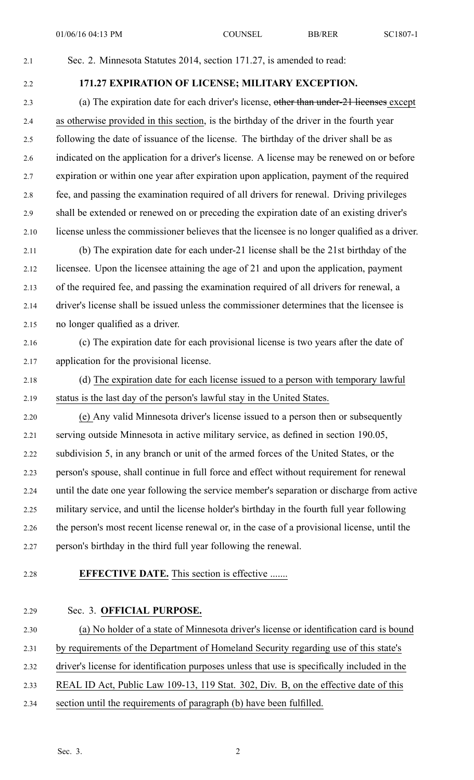## 2.1 Sec. 2. Minnesota Statutes 2014, section 171.27, is amended to read:

## 2.2 **171.27 EXPIRATION OF LICENSE; MILITARY EXCEPTION.**

2.3 (a) The expiration date for each driver's license, other than under-21 licenses excep<sup>t</sup> 2.4 as otherwise provided in this section, is the birthday of the driver in the fourth year 2.5 following the date of issuance of the license. The birthday of the driver shall be as 2.6 indicated on the application for <sup>a</sup> driver's license. A license may be renewed on or before 2.7 expiration or within one year after expiration upon application, paymen<sup>t</sup> of the required 2.8 fee, and passing the examination required of all drivers for renewal. Driving privileges 2.9 shall be extended or renewed on or preceding the expiration date of an existing driver's 2.10 license unless the commissioner believes that the licensee is no longer qualified as <sup>a</sup> driver.

2.11 (b) The expiration date for each under-21 license shall be the 21st birthday of the 2.12 licensee. Upon the licensee attaining the age of 21 and upon the application, paymen<sup>t</sup> 2.13 of the required fee, and passing the examination required of all drivers for renewal, <sup>a</sup> 2.14 driver's license shall be issued unless the commissioner determines that the licensee is 2.15 no longer qualified as <sup>a</sup> driver.

2.16 (c) The expiration date for each provisional license is two years after the date of 2.17 application for the provisional license.

2.18 (d) The expiration date for each license issued to <sup>a</sup> person with temporary lawful 2.19 status is the last day of the person's lawful stay in the United States.

2.20 (e) Any valid Minnesota driver's license issued to <sup>a</sup> person then or subsequently 2.21 serving outside Minnesota in active military service, as defined in section 190.05, 2.22 subdivision 5, in any branch or unit of the armed forces of the United States, or the 2.23 person's spouse, shall continue in full force and effect without requirement for renewal 2.24 until the date one year following the service member's separation or discharge from active 2.25 military service, and until the license holder's birthday in the fourth full year following 2.26 the person's most recent license renewal or, in the case of <sup>a</sup> provisional license, until the 2.27 person's birthday in the third full year following the renewal.

- 2.28 **EFFECTIVE DATE.** This section is effective .......
- 

## 2.29 Sec. 3. **OFFICIAL PURPOSE.**

2.30 (a) No holder of <sup>a</sup> state of Minnesota driver's license or identification card is bound

2.31 by requirements of the Department of Homeland Security regarding use of this state's

- 2.32 driver's license for identification purposes unless that use is specifically included in the
- 2.33 REAL ID Act, Public Law 109-13, 119 Stat. 302, Div. B, on the effective date of this
- 2.34 section until the requirements of paragraph (b) have been fulfilled.